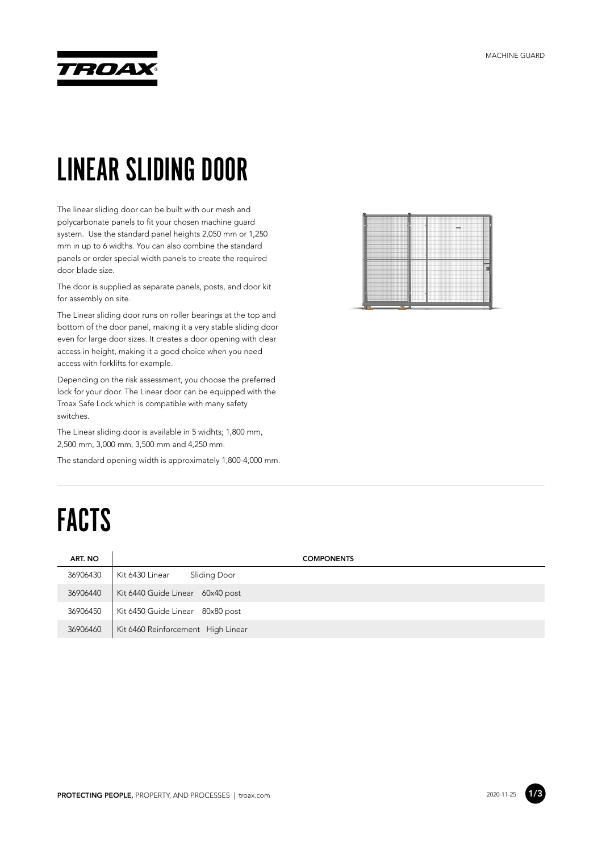

#### LINEAR SLIDING DOOR

The linear sliding door can be built with our mesh and polycarbonate panels to fit your chosen machine guard system. Use the standard panel heights 2,050 mm or 1,250 mm in up to 6 widths. You can also combine the standard panels or order special width panels to create the required door blade size.

The door is supplied as separate panels, posts, and door kit for assembly on site.

The Linear sliding door runs on roller bearings at the top and bottom of the door panel, making it a very stable sliding door even for large door sizes. It creates a door opening with clear access in height, making it a good choice when you need access with forklifts for example.

Depending on the risk assessment, you choose the preferred lock for your door. The Linear door can be equipped with the Troax Safe Lock which is compatible with many safety switches.

The Linear sliding door is available in 5 widhts; 1,800 mm, 2,500 mm, 3,000 mm, 3,500 mm and 4,250 mm.

The standard opening width is approximately 1,800-4,000 mm.

## FACTS

| ART. NO  | <b>COMPONENTS</b>                  |
|----------|------------------------------------|
| 36906430 | Sliding Door<br>Kit 6430 Linear    |
| 36906440 | Kit 6440 Guide Linear 60x40 post   |
| 36906450 | Kit 6450 Guide Linear 80x80 post   |
| 36906460 | Kit 6460 Reinforcement High Linear |



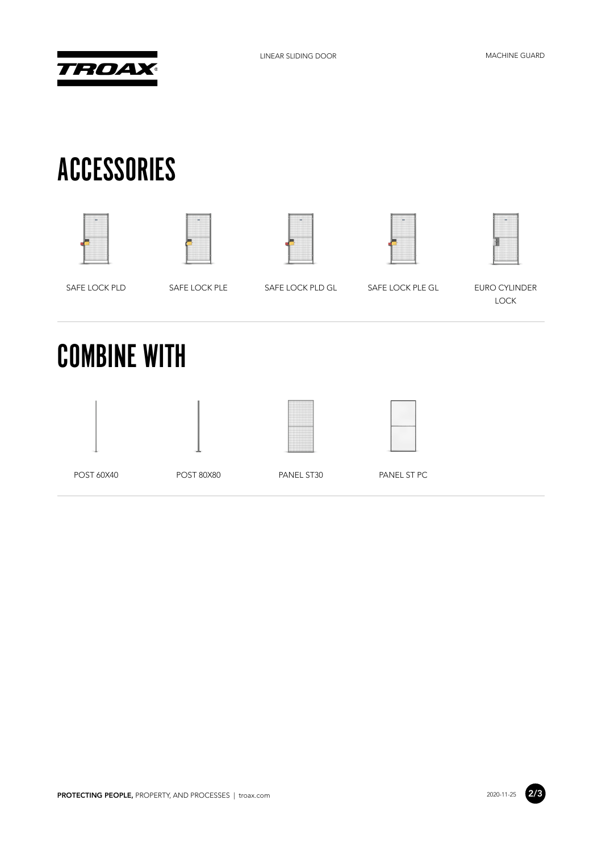

#### ACCESSORIES











SAFE LOCK PLD SAFE LOCK PLE SAFE LOCK PLD GL
SAFE LOCK PLE GL
SAFE LOCK PLD

LOCK

# COMBINE WITH







POST 60X40 POST 80X80 PANEL ST30 PANEL ST PC